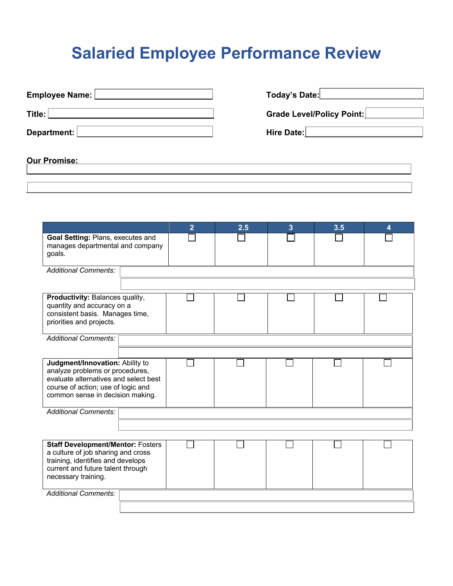## **Salaried Employee Performance Review**

| Employee Name: [ | Today's Date:                    |
|------------------|----------------------------------|
| Title:           | <b>Grade Level/Policy Point:</b> |
| Department:      | Hire Date:                       |
|                  |                                  |

**\_\_\_\_\_\_\_\_\_\_\_\_\_\_\_\_\_\_\_\_\_\_\_\_\_\_\_\_\_\_\_\_\_\_\_\_\_\_\_\_\_\_\_\_\_\_\_\_\_\_\_\_\_\_\_\_\_\_\_\_\_\_\_\_\_\_\_\_\_\_\_\_\_\_\_\_\_\_\_\_\_\_\_\_\_**

## **Our Promise: \_\_\_\_\_\_\_\_\_\_\_\_\_\_\_\_\_\_\_\_\_\_\_\_\_\_\_\_\_\_\_\_\_\_\_\_\_\_\_\_\_\_\_\_\_\_\_\_\_\_\_\_\_\_\_\_\_\_\_\_\_\_\_\_\_\_\_\_\_\_\_\_\_\_\_\_\_\_\_\_\_\_\_\_\_**

|                                                                                                                                                                                       |  | $\overline{2}$ | 2.5 | 3 | 3.5 | 4 |  |  |
|---------------------------------------------------------------------------------------------------------------------------------------------------------------------------------------|--|----------------|-----|---|-----|---|--|--|
| Goal Setting: Plans, executes and<br>manages departmental and company<br>goals.                                                                                                       |  |                |     |   |     |   |  |  |
| <b>Additional Comments:</b>                                                                                                                                                           |  |                |     |   |     |   |  |  |
|                                                                                                                                                                                       |  |                |     |   |     |   |  |  |
| Productivity: Balances quality,<br>quantity and accuracy on a<br>consistent basis. Manages time,<br>priorities and projects.                                                          |  |                |     |   |     |   |  |  |
| <b>Additional Comments:</b>                                                                                                                                                           |  |                |     |   |     |   |  |  |
|                                                                                                                                                                                       |  |                |     |   |     |   |  |  |
| Judgment/Innovation: Ability to<br>analyze problems or procedures,<br>evaluate alternatives and select best<br>course of action; use of logic and<br>common sense in decision making. |  |                |     |   |     |   |  |  |
| <b>Additional Comments:</b>                                                                                                                                                           |  |                |     |   |     |   |  |  |
|                                                                                                                                                                                       |  |                |     |   |     |   |  |  |
|                                                                                                                                                                                       |  |                |     |   |     |   |  |  |
| <b>Staff Development/Mentor: Fosters</b><br>a culture of job sharing and cross<br>training, identifies and develops<br>current and future talent through<br>necessary training.       |  |                |     |   |     |   |  |  |
| <b>Additional Comments:</b>                                                                                                                                                           |  |                |     |   |     |   |  |  |
|                                                                                                                                                                                       |  |                |     |   |     |   |  |  |